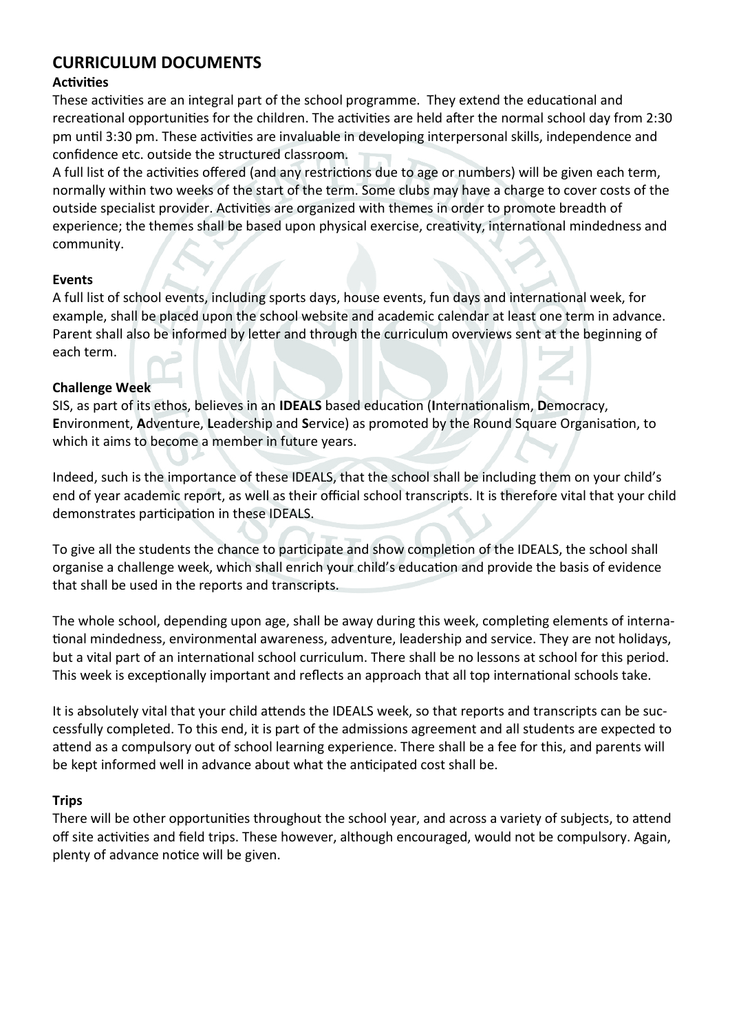# **CURRICULUM DOCUMENTS**

## **Activities**

These activities are an integral part of the school programme. They extend the educational and recreational opportunities for the children. The activities are held after the normal school day from 2:30 pm until 3:30 pm. These activities are invaluable in developing interpersonal skills, independence and confidence etc. outside the structured classroom.

A full list of the activities offered (and any restrictions due to age or numbers) will be given each term, normally within two weeks of the start of the term. Some clubs may have a charge to cover costs of the outside specialist provider. Activities are organized with themes in order to promote breadth of experience; the themes shall be based upon physical exercise, creativity, international mindedness and community.

#### **Events**

A full list of school events, including sports days, house events, fun days and international week, for example, shall be placed upon the school website and academic calendar at least one term in advance. Parent shall also be informed by letter and through the curriculum overviews sent at the beginning of each term.

### **Challenge Week**

SIS, as part of its ethos, believes in an **IDEALS** based education (**I**nternationalism, **D**emocracy, **E**nvironment, **A**dventure, **L**eadership and **S**ervice) as promoted by the Round Square Organisation, to which it aims to become a member in future years.

Indeed, such is the importance of these IDEALS, that the school shall be including them on your child's end of year academic report, as well as their official school transcripts. It is therefore vital that your child demonstrates participation in these IDEALS.

To give all the students the chance to participate and show completion of the IDEALS, the school shall organise a challenge week, which shall enrich your child's education and provide the basis of evidence that shall be used in the reports and transcripts.

The whole school, depending upon age, shall be away during this week, completing elements of international mindedness, environmental awareness, adventure, leadership and service. They are not holidays, but a vital part of an international school curriculum. There shall be no lessons at school for this period. This week is exceptionally important and reflects an approach that all top international schools take.

It is absolutely vital that your child attends the IDEALS week, so that reports and transcripts can be successfully completed. To this end, it is part of the admissions agreement and all students are expected to attend as a compulsory out of school learning experience. There shall be a fee for this, and parents will be kept informed well in advance about what the anticipated cost shall be.

### **Trips**

There will be other opportunities throughout the school year, and across a variety of subjects, to attend off site activities and field trips. These however, although encouraged, would not be compulsory. Again, plenty of advance notice will be given.